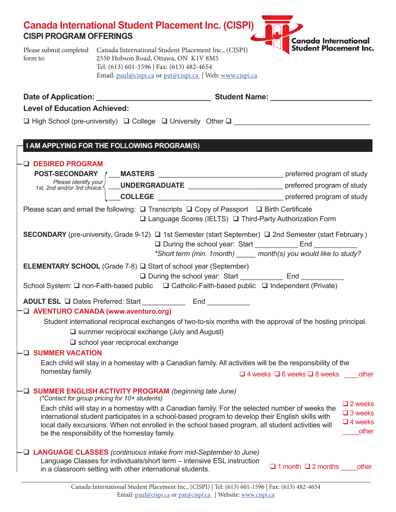| <b>CISPI PROGRAM OFFERINGS</b> | <b>Canada International Student Placement Inc. (CISPI) AND 2</b>             |                                                    |
|--------------------------------|------------------------------------------------------------------------------|----------------------------------------------------|
|                                | Please submit completed Canada International Student Placement Inc., (CISPI) | <b>Canada International Student Placement Inc.</b> |

Please submit completed Canada International Student Placement Inc., (CISPI) form to: 2550 Hobson Road, Ottawa, ON K1V 8M5 Tel: (613) 601-1596 | Fax: (613) 482-4654 Email: [paul@cispi.ca](mailto:paul@cispi.ca) or [pat@cispi.ca](mailto:pat@cispi.ca) | Web: [www.cispi.ca](http://www.cispi.ca)

| <b>Level of Education Achieved:</b>                                                                                                                |                                                     |                                                                                                                                                                                                                                                                                                                                                                             |  |  |  |
|----------------------------------------------------------------------------------------------------------------------------------------------------|-----------------------------------------------------|-----------------------------------------------------------------------------------------------------------------------------------------------------------------------------------------------------------------------------------------------------------------------------------------------------------------------------------------------------------------------------|--|--|--|
|                                                                                                                                                    |                                                     | $\Box$ High School (pre-university) $\Box$ College $\Box$ University Other $\Box$                                                                                                                                                                                                                                                                                           |  |  |  |
| I AM APPLYING FOR THE FOLLOWING PROGRAM(S)                                                                                                         |                                                     |                                                                                                                                                                                                                                                                                                                                                                             |  |  |  |
| - LI DESIRED PROGRAM<br>Please scan and email the following: $\Box$ Transcripts $\Box$ Copy of Passport $\Box$ Birth Certificate                   |                                                     |                                                                                                                                                                                                                                                                                                                                                                             |  |  |  |
|                                                                                                                                                    |                                                     | □ Language Scores (IELTS) □ Third-Party Authorization Form                                                                                                                                                                                                                                                                                                                  |  |  |  |
|                                                                                                                                                    |                                                     | SECONDARY (pre-university, Grade 9-12) □ 1st Semester (start September) □ 2nd Semester (start February.)<br>□ During the school year: Start ____________ End __________<br>*Short term (min. 1month) _____ month(s) you would like to study?                                                                                                                                |  |  |  |
| <b>ELEMENTARY SCHOOL</b> (Grade 7-8) $\Box$ Start of school year (September)                                                                       |                                                     | □ During the school year: Start _______________ End ____________<br>School System: □ non-Faith-based public □ Catholic-Faith-based public □ Independent (Private)                                                                                                                                                                                                           |  |  |  |
| ADULT ESL □ Dates Preferred: Start ______________ End __________<br>D AVENTURO CANADA (www.aventuro.org)<br>$\Box$ school year reciprocal exchange | $\Box$ summer reciprocal exchange (July and August) | Student international reciprocal exchanges of two-to-six months with the approval of the hosting principal.                                                                                                                                                                                                                                                                 |  |  |  |
| - <b>Q SUMMER VACATION</b><br>homestay family.                                                                                                     |                                                     | Each child will stay in a homestay with a Canadian family. All activities will be the responsibility of the<br>$\Box$ 4 weeks $\Box$ 6 weeks $\Box$ 8 weeks other                                                                                                                                                                                                           |  |  |  |
| <b>D</b> SUMMER ENGLISH ACTIVITY PROGRAM (beginning late June)<br>(*Contact for group pricing for 10+ students)                                    |                                                     | $\square$ 2 weeks<br>Each child will stay in a homestay with a Canadian family. For the selected number of weeks the<br>$\square$ 3 weeks<br>to the contract of the closely contrated with the contract the contract of the closely of the format of the contract of the contract of the contract of the contract of the contract of the contract of the contract of the co |  |  |  |

local daily excursions. When not enrolled in the school based program, all student activities will be the responsibility of the homestay family. **LANGUAGE CLASSES** *(continuous intake from mid-September to June)*

international student participates in a school-based program to develop their English skills with

 $\Box$  4 weeks \_\_\_\_\_other

Language Classes for individuals/short term – intensive ESL instruction in a classroom setting with other international students.

 $\Box$  1 month  $\Box$  2 months other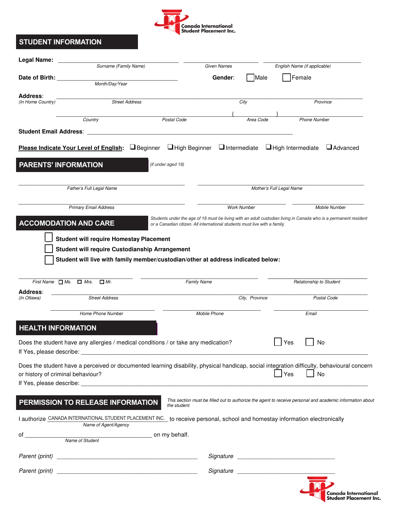

## **STUDENT INFORMATION STUDENT INFORMATION STUDENT INFORMATION**

| <b>Legal Name:</b> | Surname (Family Name)                                                                                                                                                                                                                                                                                                |                                                                                                                                                                                                |                     |                | English Name (if applicable) |                                                                                                           |  |
|--------------------|----------------------------------------------------------------------------------------------------------------------------------------------------------------------------------------------------------------------------------------------------------------------------------------------------------------------|------------------------------------------------------------------------------------------------------------------------------------------------------------------------------------------------|---------------------|----------------|------------------------------|-----------------------------------------------------------------------------------------------------------|--|
|                    |                                                                                                                                                                                                                                                                                                                      |                                                                                                                                                                                                | Given Names         |                |                              |                                                                                                           |  |
| Date of Birth:     | Month/Day/Year                                                                                                                                                                                                                                                                                                       |                                                                                                                                                                                                | Gender:             | Male           | Female                       |                                                                                                           |  |
| Address:           |                                                                                                                                                                                                                                                                                                                      |                                                                                                                                                                                                |                     |                |                              |                                                                                                           |  |
| (In Home Country)  | <b>Street Address</b>                                                                                                                                                                                                                                                                                                |                                                                                                                                                                                                |                     | City           |                              | Province                                                                                                  |  |
|                    | Country                                                                                                                                                                                                                                                                                                              | Postal Code                                                                                                                                                                                    |                     | Area Code      | <b>Phone Number</b>          |                                                                                                           |  |
|                    | <b>Student Email Address:</b>                                                                                                                                                                                                                                                                                        |                                                                                                                                                                                                |                     |                |                              |                                                                                                           |  |
|                    |                                                                                                                                                                                                                                                                                                                      |                                                                                                                                                                                                |                     |                |                              |                                                                                                           |  |
|                    | Please Indicate Your Level of English: <b>Deginner D</b> High Beginner <b>D</b> Intermediate <b>D</b> High Intermediate <b>D</b> Advanced                                                                                                                                                                            |                                                                                                                                                                                                |                     |                |                              |                                                                                                           |  |
|                    | <b>PARENTS' INFORMATION</b>                                                                                                                                                                                                                                                                                          | (if under aged 18)                                                                                                                                                                             |                     |                |                              |                                                                                                           |  |
|                    |                                                                                                                                                                                                                                                                                                                      |                                                                                                                                                                                                |                     |                |                              |                                                                                                           |  |
|                    | Father's Full Legal Name                                                                                                                                                                                                                                                                                             |                                                                                                                                                                                                |                     |                | Mother's Full Legal Name     |                                                                                                           |  |
|                    |                                                                                                                                                                                                                                                                                                                      |                                                                                                                                                                                                |                     |                |                              |                                                                                                           |  |
|                    | <b>Primary Email Address</b>                                                                                                                                                                                                                                                                                         |                                                                                                                                                                                                | <b>Work Number</b>  |                |                              | Mobile Number                                                                                             |  |
|                    | <b>ACCOMODATION AND CARE</b>                                                                                                                                                                                                                                                                                         | Students under the age of 18 must be living with an adult custodian living in Canada who is a permanent resident<br>or a Canadian citizen. All international students must live with a family. |                     |                |                              |                                                                                                           |  |
|                    |                                                                                                                                                                                                                                                                                                                      |                                                                                                                                                                                                |                     |                |                              |                                                                                                           |  |
|                    | <b>Student will require Homestay Placement</b><br>Student will require Custodianship Arrangement                                                                                                                                                                                                                     |                                                                                                                                                                                                |                     |                |                              |                                                                                                           |  |
|                    | Student will live with family member/custodian/other at address indicated below:                                                                                                                                                                                                                                     |                                                                                                                                                                                                |                     |                |                              |                                                                                                           |  |
|                    |                                                                                                                                                                                                                                                                                                                      |                                                                                                                                                                                                |                     |                |                              |                                                                                                           |  |
|                    | First Name $\Box$ Ms. $\Box$ Mrs.<br>$\Box$ Mr.                                                                                                                                                                                                                                                                      | <b>Family Name</b>                                                                                                                                                                             |                     |                | Relationship to Student      |                                                                                                           |  |
| <b>Address:</b>    |                                                                                                                                                                                                                                                                                                                      |                                                                                                                                                                                                |                     |                |                              |                                                                                                           |  |
| (In Ottawa)        | <b>Street Address</b>                                                                                                                                                                                                                                                                                                |                                                                                                                                                                                                |                     | City, Province |                              | Postal Code                                                                                               |  |
|                    | Home Phone Number                                                                                                                                                                                                                                                                                                    |                                                                                                                                                                                                | <b>Mobile Phone</b> |                | Email                        |                                                                                                           |  |
|                    | <b>HEALTH INFORMATION</b>                                                                                                                                                                                                                                                                                            |                                                                                                                                                                                                |                     |                |                              |                                                                                                           |  |
|                    |                                                                                                                                                                                                                                                                                                                      |                                                                                                                                                                                                |                     |                |                              |                                                                                                           |  |
|                    | Does the student have any allergies / medical conditions / or take any medication?<br>If Yes, please describe: The contract of the contract of the contract of the contract of the contract of the contract of the contract of the contract of the contract of the contract of the contract of the contract of the c |                                                                                                                                                                                                |                     |                | Yes<br>No                    |                                                                                                           |  |
|                    |                                                                                                                                                                                                                                                                                                                      |                                                                                                                                                                                                |                     |                |                              |                                                                                                           |  |
|                    | Does the student have a perceived or documented learning disability, physical handicap, social integration difficulty, behavioural concern<br>or history of criminal behaviour?                                                                                                                                      |                                                                                                                                                                                                |                     |                | Yes<br>No                    |                                                                                                           |  |
|                    |                                                                                                                                                                                                                                                                                                                      |                                                                                                                                                                                                |                     |                |                              |                                                                                                           |  |
|                    |                                                                                                                                                                                                                                                                                                                      |                                                                                                                                                                                                |                     |                |                              |                                                                                                           |  |
|                    | PERMISSION TO RELEASE INFORMATION                                                                                                                                                                                                                                                                                    | the student.                                                                                                                                                                                   |                     |                |                              | This section must be filled out to authorize the agent to receive personal and academic information about |  |
|                    | I authorize CANADA INTERNATIONAL STUDENT PLACEMENT INC. to receive personal, school and homestay information electronically                                                                                                                                                                                          |                                                                                                                                                                                                |                     |                |                              |                                                                                                           |  |
|                    | Name of Agent/Agency                                                                                                                                                                                                                                                                                                 |                                                                                                                                                                                                |                     |                |                              |                                                                                                           |  |
| of                 | Name of Student control on my behalf.                                                                                                                                                                                                                                                                                |                                                                                                                                                                                                |                     |                |                              |                                                                                                           |  |
|                    |                                                                                                                                                                                                                                                                                                                      |                                                                                                                                                                                                |                     |                |                              |                                                                                                           |  |
|                    |                                                                                                                                                                                                                                                                                                                      |                                                                                                                                                                                                |                     |                |                              |                                                                                                           |  |
|                    |                                                                                                                                                                                                                                                                                                                      |                                                                                                                                                                                                |                     |                |                              |                                                                                                           |  |
|                    |                                                                                                                                                                                                                                                                                                                      |                                                                                                                                                                                                |                     |                |                              |                                                                                                           |  |
|                    |                                                                                                                                                                                                                                                                                                                      |                                                                                                                                                                                                |                     |                |                              | Canada International<br><b>Student Placement Inc.</b>                                                     |  |